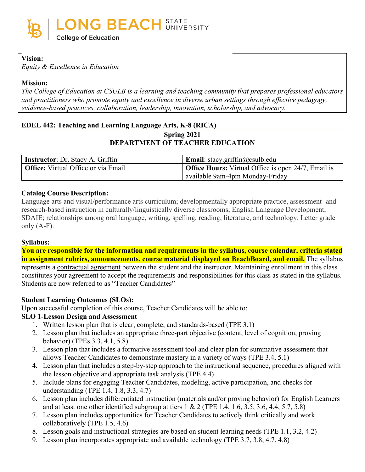

## **Vision:**

*Equity & Excellence in Education*

## **Mission:**

*The College of Education at CSULB is a learning and teaching community that prepares professional educators and practitioners who promote equity and excellence in diverse urban settings through effective pedagogy, evidence-based practices, collaboration, leadership, innovation, scholarship, and advocacy.*

## **EDEL 442: Teaching and Learning Language Arts, K-8 (RICA)**

## **Spring 2021 DEPARTMENT OF TEACHER EDUCATION**

| Instructor: Dr. Stacy A. Griffin           | <b>Email:</b> stacy.griffin@csulb.edu                      |
|--------------------------------------------|------------------------------------------------------------|
| <b>Office:</b> Virtual Office or via Email | <b>Office Hours:</b> Virtual Office is open 24/7, Email is |
|                                            | available 9am-4pm Monday-Friday                            |

## **Catalog Course Description:**

Language arts and visual/performance arts curriculum; developmentally appropriate practice, assessment- and research-based instruction in culturally/linguistically diverse classrooms; English Language Development; SDAIE; relationships among oral language, writing, spelling, reading, literature, and technology. Letter grade only (A-F).

## **Syllabus:**

**You are responsible for the information and requirements in the syllabus, course calendar, criteria stated in assignment rubrics, announcements, course material displayed on BeachBoard, and email.** The syllabus represents a contractual agreement between the student and the instructor. Maintaining enrollment in this class constitutes your agreement to accept the requirements and responsibilities for this class as stated in the syllabus. Students are now referred to as "Teacher Candidates"

## **Student Learning Outcomes (SLOs):**

Upon successful completion of this course, Teacher Candidates will be able to:

## **SLO 1**-**Lesson Design and Assessment**

- 1. Written lesson plan that is clear, complete, and standards-based (TPE 3.1)
- 2. Lesson plan that includes an appropriate three-part objective (content, level of cognition, proving behavior) (TPEs 3.3, 4.1, 5.8)
- 3. Lesson plan that includes a formative assessment tool and clear plan for summative assessment that allows Teacher Candidates to demonstrate mastery in a variety of ways (TPE 3.4, 5.1)
- 4. Lesson plan that includes a step-by-step approach to the instructional sequence, procedures aligned with the lesson objective and appropriate task analysis (TPE 4.4)
- 5. Include plans for engaging Teacher Candidates, modeling, active participation, and checks for understanding (TPE 1.4, 1.8, 3.3, 4.7)
- 6. Lesson plan includes differentiated instruction (materials and/or proving behavior) for English Learners and at least one other identified subgroup at tiers  $1 \& 2$  (TPE 1.4, 1.6, 3.5, 3.6, 4.4, 5.7, 5.8)
- 7. Lesson plan includes opportunities for Teacher Candidates to actively think critically and work collaboratively (TPE 1.5, 4.6)
- 8. Lesson goals and instructional strategies are based on student learning needs (TPE 1.1, 3.2, 4.2)
- 9. Lesson plan incorporates appropriate and available technology (TPE 3.7, 3.8, 4.7, 4.8)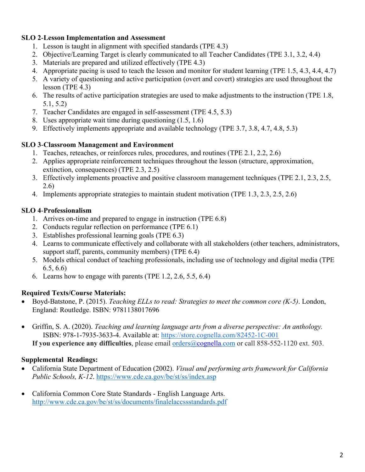## **SLO 2**-**Lesson Implementation and Assessment**

- 1. Lesson is taught in alignment with specified standards (TPE 4.3)
- 2. Objective/Learning Target is clearly communicated to all Teacher Candidates (TPE 3.1, 3.2, 4.4)
- 3. Materials are prepared and utilized effectively (TPE 4.3)
- 4. Appropriate pacing is used to teach the lesson and monitor for student learning (TPE 1.5, 4.3, 4.4, 4.7)
- 5. A variety of questioning and active participation (overt and covert) strategies are used throughout the lesson (TPE 4.3)
- 6. The results of active participation strategies are used to make adjustments to the instruction (TPE 1.8, 5.1, 5.2)
- 7. Teacher Candidates are engaged in self-assessment (TPE 4.5, 5.3)
- 8. Uses appropriate wait time during questioning (1.5, 1.6)
- 9. Effectively implements appropriate and available technology (TPE 3.7, 3.8, 4.7, 4.8, 5.3)

## **SLO 3**-**Classroom Management and Environment**

- 1. Teaches, reteaches, or reinforces rules, procedures, and routines (TPE 2.1, 2.2, 2.6)
- 2. Applies appropriate reinforcement techniques throughout the lesson (structure, approximation, extinction, consequences) (TPE 2.3, 2.5)
- 3. Effectively implements proactive and positive classroom management techniques (TPE 2.1, 2.3, 2.5, 2.6)
- 4. Implements appropriate strategies to maintain student motivation (TPE 1.3, 2.3, 2.5, 2.6)

## **SLO 4**-**Professionalism**

- 1. Arrives on-time and prepared to engage in instruction (TPE 6.8)
- 2. Conducts regular reflection on performance (TPE 6.1)
- 3. Establishes professional learning goals (TPE 6.3)
- 4. Learns to communicate effectively and collaborate with all stakeholders (other teachers, administrators, support staff, parents, community members) (TPE 6.4)
- 5. Models ethical conduct of teaching professionals, including use of technology and digital media (TPE 6.5, 6.6)
- 6. Learns how to engage with parents (TPE 1.2, 2.6, 5.5, 6.4)

## **Required Texts/Course Materials:**

- Boyd-Batstone, P. (2015). *Teaching ELLs to read: Strategies to meet the common core (K-5)*. London, England: Routledge. ISBN: 9781138017696
- Griffin, S. A. (2020). *Teaching and learning language arts from a diverse perspective: An anthology.* ISBN: 978-1-7935-3633-4. Available at: [https://store.cognella.com/82452-1C-001](https://nam12.safelinks.protection.outlook.com/?url=https%3A%2F%2Fstore.cognella.com%2F82452-1C-001&data=04%7C01%7Cstacy.griffin%40csulb.edu%7Cade629eb648f4cf7d71508d8a08ad48d%7Cd175679bacd34644be82af041982977a%7C0%7C0%7C637435865439420000%7CUnknown%7CTWFpbGZsb3d8eyJWIjoiMC4wLjAwMDAiLCJQIjoiV2luMzIiLCJBTiI6Ik1haWwiLCJXVCI6Mn0%3D%7C1000&sdata=eGo%2BoyqIHtEkcHjRF2tkiks8I%2BAnl7Fr7w9EYcT73nw%3D&reserved=0)

**If you experience any difficulties**, please email [orders@cognella.com](mailto:orders@cognella.com) or call 858-552-1120 ext. 503.

## **Supplemental Readings:**

- California State Department of Education (2002). *Visual and performing arts framework for California Public Schools, K-12*.<https://www.cde.ca.gov/be/st/ss/index.asp>
- California Common Core State Standards English Language Arts. <http://www.cde.ca.gov/be/st/ss/documents/finalelaccssstandards.pdf>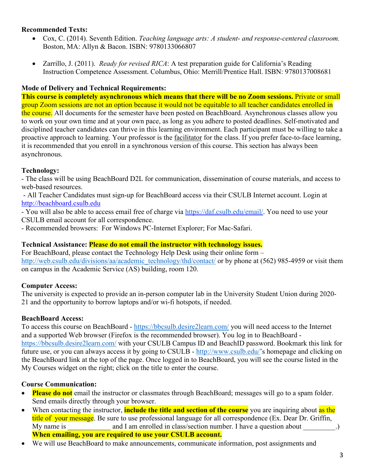## **Recommended Texts:**

- Cox, C. (2014). Seventh Edition. *Teaching language arts: A student- and response-centered classroom.* Boston, MA: Allyn & Bacon. ISBN: 9780133066807
- Zarrillo, J. (2011). *Ready for revised RICA*: A test preparation guide for California's Reading Instruction Competence Assessment. Columbus, Ohio: Merrill/Prentice Hall. ISBN: 9780137008681

## **Mode of Delivery and Technical Requirements:**

**This course is completely asynchronous which means that there will be no Zoom sessions.** Private or small group Zoom sessions are not an option because it would not be equitable to all teacher candidates enrolled in the course. All documents for the semester have been posted on BeachBoard. Asynchronous classes allow you to work on your own time and at your own pace, as long as you adhere to posted deadlines. Self-motivated and disciplined teacher candidates can thrive in this learning environment. Each participant must be willing to take a proactive approach to learning. Your professor is the facilitator for the class. If you prefer face-to-face learning, it is recommended that you enroll in a synchronous version of this course. This section has always been asynchronous.

## **Technology:**

- The class will be using BeachBoard D2L for communication, dissemination of course materials, and access to web-based resources.

- All Teacher Candidates must sign-up for BeachBoard access via their CSULB Internet account. Login at http://beachboard.csulb.edu

- You will also be able to access email free of charge via [https://daf.csulb.edu/email/.](https://daf.csulb.edu/email/) You need to use your CSULB email account for all correspondence.

- Recommended browsers: For Windows PC-Internet Explorer; For Mac-Safari.

## **Technical Assistance: Please do not email the instructor with technology issues.**

For BeachBoard, please contact the Technology Help Desk using their online form – [http://web.csulb.edu/divisions/aa/academic\\_technology/thd/contact/](http://web.csulb.edu/divisions/aa/academic_technology/thd/contact/) or by phone at (562) 985-4959 or visit them on campus in the Academic Service (AS) building, room 120.

## **Computer Access:**

The university is expected to provide an in-person computer lab in the University Student Union during 2020- 21 and the opportunity to borrow laptops and/or wi-fi hotspots, if needed.

## **BeachBoard Access:**

To access this course on BeachBoard - <https://bbcsulb.desire2learn.com/> you will need access to the Internet and a supported Web browser (Firefox is the recommended browser). You log in to BeachBoard <https://bbcsulb.desire2learn.com/> with your CSULB Campus ID and BeachID password. Bookmark this link for future use, or you can always access it by going to CSULB - [http://www.csulb.edu/'](http://www.csulb.edu/)s homepage and clicking on the BeachBoard link at the top of the page. Once logged in to BeachBoard, you will see the course listed in the My Courses widget on the right; click on the title to enter the course.

## **Course Communication:**

- **Please do not** email the instructor or classmates through BeachBoard; messages will go to a spam folder. Send emails directly through your browser.
- When contacting the instructor, **include the title and section of the course** you are inquiring about as the title of your message. Be sure to use professional language for all correspondence (Ex. Dear Dr. Griffin, My name is and I am enrolled in class/section number. I have a question about  $\cdot$ .) **When emailing, you are required to use your CSULB account.**
- We will use BeachBoard to make announcements, communicate information, post assignments and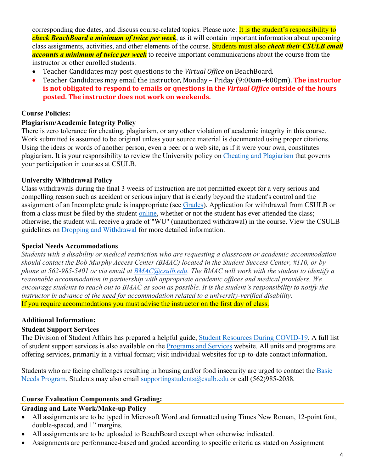corresponding due dates, and discuss course-related topics. Please note: It is the student's responsibility to *check BeachBoard a minimum of twice per week*, as it will contain important information about upcoming class assignments, activities, and other elements of the course. Students must also *check their CSULB email accounts a minimum of twice per week* to receive important communications about the course from the instructor or other enrolled students.

- Teacher Candidates may post questions to the *Virtual Office* on BeachBoard.
- Teacher Candidates may email the instructor, Monday Friday (9:00am-4:00pm). **The instructor is not obligated to respond to emails or questions in the** *Virtual Office* **outside of the hours posted. The instructor does not work on weekends.**

## **Course Policies:**

## **Plagiarism/Academic Integrity Policy**

There is zero tolerance for cheating, plagiarism, or any other violation of academic integrity in this course. Work submitted is assumed to be original unless your source material is documented using proper citations. Using the ideas or words of another person, even a peer or a web site, as if it were your own, constitutes plagiarism. It is your responsibility to review the University policy on [Cheating and](http://catalog.csulb.edu/content.php?catoid=5&navoid=369#cheating-and-plagiarism) Plagiarism that governs your participation in courses at CSULB.

## **University Withdrawal Policy**

Class withdrawals during the final 3 weeks of instruction are not permitted except for a very serious and compelling reason such as accident or serious injury that is clearly beyond the student's control and the assignment of an Incomplete grade is inappropriate (see [Grades\)](http://www.csulb.edu/depts/enrollment/student_academic_records/grading.html). Application for withdrawal from CSULB or from a class must be filed by the student [online,](https://www.csulb.edu/student-records/dropping-and-withdrawing) whether or not the student has ever attended the class; otherwise, the student will receive a grade of "WU" (unauthorized withdrawal) in the course. View the CSULB guidelines on [Dropping and Withdrawal](https://www.csulb.edu/student-records/dropping-and-withdrawing#:%7E:text=Policy,after%20separation%20from%20the%20university.) for more detailed information.

## **Special Needs Accommodations**

*Students with a disability or medical restriction who are requesting a classroom or academic accommodation should contact the Bob Murphy Access Center (BMAC) located in the Student Success Center, #110, or by phone at 562-985-5401 or via email at [BMAC@csulb.edu.](mailto:BMAC@csulb.edu) The BMAC will work with the student to identify a reasonable accommodation in partnership with appropriate academic offices and medical providers. We encourage students to reach out to BMAC as soon as possible. It is the student's responsibility to notify the instructor in advance of the need for accommodation related to a university-verified disability.* If you require accommodations you must advise the instructor on the first day of class.

## **Additional Information:**

## **Student Support Services**

The Division of Student Affairs has prepared a helpful guide, [Student Resources During COVID-19.](https://rb.gy/ql7w8j) A full list of student support services is also available on the [Programs and Services](http://web.csulb.edu/divisions/students/programs.html) website. All units and programs are offering services, primarily in a virtual format; visit individual websites for up-to-date contact information.

Students who are facing challenges resulting in housing and/or food insecurity are urged to contact the [Basic](http://web.csulb.edu/divisions/students/basic_needs_program/index.html)  [Needs Program.](http://web.csulb.edu/divisions/students/basic_needs_program/index.html) Students may also email [supportingstudents@csulb.edu](mailto:supportingstudents@csulb.edu) or call (562)985-2038*.*

## **Course Evaluation Components and Grading:**

## **Grading and Late Work/Make-up Policy**

- All assignments are to be typed in Microsoft Word and formatted using Times New Roman, 12-point font, double-spaced, and 1" margins.
- All assignments are to be uploaded to BeachBoard except when otherwise indicated.
- Assignments are performance-based and graded according to specific criteria as stated on Assignment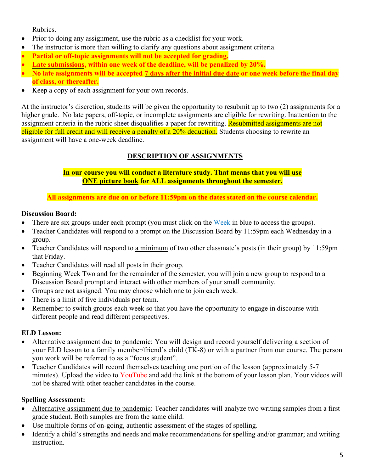Rubrics.

- Prior to doing any assignment, use the rubric as a checklist for your work.
- The instructor is more than willing to clarify any questions about assignment criteria.
- **Partial or off-topic assignments will not be accepted for grading.**
- Late submissions, within one week of the deadline, will be penalized by 20%.
- **No late assignments will be accepted 7 days after the initial due date or one week before the final day of class, or thereafter.**
- Keep a copy of each assignment for your own records.

At the instructor's discretion, students will be given the opportunity to resubmit up to two (2) assignments for a higher grade. No late papers, off-topic, or incomplete assignments are eligible for rewriting. Inattention to the assignment criteria in the rubric sheet disqualifies a paper for rewriting. Resubmitted assignments are not eligible for full credit and will receive a penalty of a 20% deduction. Students choosing to rewrite an assignment will have a one-week deadline.

## **DESCRIPTION OF ASSIGNMENTS**

## **In our course you will conduct a literature study. That means that you will use ONE picture book for ALL assignments throughout the semester.**

## **All assignments are due on or before 11:59pm on the dates stated on the course calendar.**

## **Discussion Board:**

- There are six groups under each prompt (you must click on the Week in blue to access the groups).
- Teacher Candidates will respond to a prompt on the Discussion Board by 11:59pm each Wednesday in a group.
- Teacher Candidates will respond to a minimum of two other classmate's posts (in their group) by 11:59pm that Friday.
- Teacher Candidates will read all posts in their group.
- Beginning Week Two and for the remainder of the semester, you will join a new group to respond to a Discussion Board prompt and interact with other members of your small community.
- Groups are not assigned. You may choose which one to join each week.
- There is a limit of five individuals per team.
- Remember to switch groups each week so that you have the opportunity to engage in discourse with different people and read different perspectives.

## **ELD Lesson:**

- Alternative assignment due to pandemic: You will design and record yourself delivering a section of your ELD lesson to a family member/friend's child (TK-8) or with a partner from our course. The person you work will be referred to as a "focus student".
- Teacher Candidates will record themselves teaching one portion of the lesson (approximately 5-7) minutes). Upload the video to YouTube and add the link at the bottom of your lesson plan. Your videos will not be shared with other teacher candidates in the course.

## **Spelling Assessment:**

- Alternative assignment due to pandemic: Teacher candidates will analyze two writing samples from a first grade student. Both samples are from the same child.
- Use multiple forms of on-going, authentic assessment of the stages of spelling.
- Identify a child's strengths and needs and make recommendations for spelling and/or grammar; and writing instruction.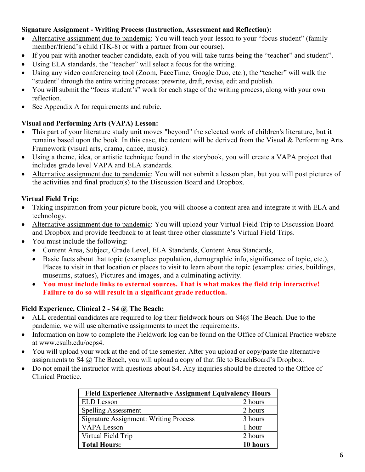## **Signature Assignment - Writing Process (Instruction, Assessment and Reflection):**

- Alternative assignment due to pandemic: You will teach your lesson to your "focus student" (family member/friend's child (TK-8) or with a partner from our course).
- If you pair with another teacher candidate, each of you will take turns being the "teacher" and student".
- Using ELA standards, the "teacher" will select a focus for the writing.
- Using any video conferencing tool (Zoom, FaceTime, Google Duo, etc.), the "teacher" will walk the "student" through the entire writing process: prewrite, draft, revise, edit and publish.
- You will submit the "focus student's" work for each stage of the writing process, along with your own reflection.
- See Appendix A for requirements and rubric.

## **Visual and Performing Arts (VAPA) Lesson:**

- This part of your literature study unit moves "beyond" the selected work of children's literature, but it remains based upon the book. In this case, the content will be derived from the Visual & Performing Arts Framework (visual arts, drama, dance, music).
- Using a theme, idea, or artistic technique found in the storybook, you will create a VAPA project that includes grade level VAPA and ELA standards.
- Alternative assignment due to pandemic: You will not submit a lesson plan, but you will post pictures of the activities and final product(s) to the Discussion Board and Dropbox.

## **Virtual Field Trip:**

- Taking inspiration from your picture book, you will choose a content area and integrate it with ELA and technology.
- Alternative assignment due to pandemic: You will upload your Virtual Field Trip to Discussion Board and Dropbox and provide feedback to at least three other classmate's Virtual Field Trips.
- You must include the following:
	- Content Area, Subject, Grade Level, ELA Standards, Content Area Standards,
	- Basic facts about that topic (examples: population, demographic info, significance of topic, etc.), Places to visit in that location or places to visit to learn about the topic (examples: cities, buildings, museums, statues), Pictures and images, and a culminating activity.
	- **You must include links to external sources. That is what makes the field trip interactive! Failure to do so will result in a significant grade reduction.**

## **Field Experience, Clinical 2 - S4 @ The Beach:**

- ALL credential candidates are required to log their fieldwork hours on  $S4@$  The Beach. Due to the pandemic, we will use alternative assignments to meet the requirements.
- Information on how to complete the Fieldwork log can be found on the Office of Clinical Practice website at [www.csulb.edu/ocps4.](http://www.csulb.edu/ocps4)
- You will upload your work at the end of the semester. After you upload or copy/paste the alternative assignments to S4  $\omega$ . The Beach, you will upload a copy of that file to BeachBoard's Dropbox.
- Do not email the instructor with questions about S4. Any inquiries should be directed to the Office of Clinical Practice.

| <b>Field Experience Alternative Assignment Equivalency Hours</b> |          |  |
|------------------------------------------------------------------|----------|--|
| <b>ELD</b> Lesson                                                | 2 hours  |  |
| <b>Spelling Assessment</b>                                       | 2 hours  |  |
| <b>Signature Assignment: Writing Process</b>                     | 3 hours  |  |
| <b>VAPA</b> Lesson                                               | 1 hour   |  |
| Virtual Field Trip                                               | 2 hours  |  |
| <b>Total Hours:</b>                                              | 10 hours |  |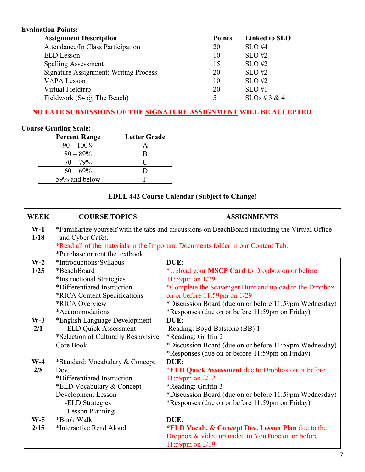## **Evaluation Points:**

| <b>Assignment Description</b>                | <b>Points</b> | Linked to SLO    |
|----------------------------------------------|---------------|------------------|
| Attendance/In Class Participation            | 20            | $SLO$ #4         |
| <b>ELD</b> Lesson                            | 10            | $SLO$ #2         |
| <b>Spelling Assessment</b>                   | 15            | $SLO$ #2         |
| <b>Signature Assignment: Writing Process</b> | 20            | $SLO$ #2         |
| VAPA Lesson                                  | 10            | $SLO$ #2         |
| Virtual Fieldtrip                            | 20            | $SLO$ #1         |
| Fieldwork (S4 $\omega$ ) The Beach)          |               | $SLOs \# 3 \& 4$ |

## **NO LATE SUBMISSIONS OF THE SIGNATURE ASSIGNMENT WILL BE ACCEPTED**

## **Course Grading Scale:**

| <b>Percent Range</b> | <b>Letter Grade</b> |
|----------------------|---------------------|
| $90 - 100\%$         |                     |
| $80 - 89\%$          |                     |
| $70 - 79\%$          | C                   |
| $60 - 69\%$          |                     |
| 59% and below        |                     |

## **EDEL 442 Course Calendar (Subject to Change)**

| <b>WEEK</b> | <b>COURSE TOPICS</b>                                                                            | <b>ASSIGNMENTS</b>                                                               |  |  |  |
|-------------|-------------------------------------------------------------------------------------------------|----------------------------------------------------------------------------------|--|--|--|
| $W-1$       | *Familiarize yourself with the tabs and discussions on BeachBoard (including the Virtual Office |                                                                                  |  |  |  |
| 1/18        | and Cyber Café).                                                                                |                                                                                  |  |  |  |
|             |                                                                                                 | *Read all of the materials in the Important Documents folder in our Content Tab. |  |  |  |
|             | *Purchase or rent the textbook                                                                  |                                                                                  |  |  |  |
| $W-2$       | *Introductions/Syllabus                                                                         | DUE:                                                                             |  |  |  |
| 1/25        | *BeachBoard                                                                                     | *Upload your MSCP Card to Dropbox on or before                                   |  |  |  |
|             | *Instructional Strategies                                                                       | 11:59pm on $1/29$                                                                |  |  |  |
|             | *Differentiated Instruction                                                                     | *Complete the Scavenger Hunt and upload to the Dropbox                           |  |  |  |
|             | *RICA Content Specifications                                                                    | on or before 11:59pm on 1/29                                                     |  |  |  |
|             | *RICA Overview                                                                                  | *Discussion Board (due on or before 11:59pm Wednesday)                           |  |  |  |
|             | *Accommodations                                                                                 | *Responses (due on or before 11:59pm on Friday)                                  |  |  |  |
| $W-3$       | *English Language Development<br>DUE:                                                           |                                                                                  |  |  |  |
| 2/1         | -ELD Quick Assessment                                                                           | Reading: Boyd-Batstone (BB) 1                                                    |  |  |  |
|             | *Selection of Culturally Responsive                                                             | *Reading: Griffin 2                                                              |  |  |  |
|             | Core Book                                                                                       | *Discussion Board (due on or before 11:59pm Wednesday)                           |  |  |  |
|             |                                                                                                 | *Responses (due on or before 11:59pm on Friday)                                  |  |  |  |
| $W-4$       | *Standard: Vocabulary & Concept                                                                 | DUE:                                                                             |  |  |  |
| 2/8         | Dev.                                                                                            | *ELD Quick Assessment due to Dropbox on or before                                |  |  |  |
|             | *Differentiated Instruction                                                                     | 11:59pm on 2/12                                                                  |  |  |  |
|             | *ELD Vocabulary & Concept                                                                       | *Reading: Griffin 3                                                              |  |  |  |
|             | Development Lesson                                                                              | *Discussion Board (due on or before 11:59pm Wednesday)                           |  |  |  |
|             | -ELD Strategies                                                                                 | *Responses (due on or before 11:59pm on Friday)                                  |  |  |  |
|             | -Lesson Planning                                                                                |                                                                                  |  |  |  |
| $W-5$       | *Book Walk                                                                                      | DUE:                                                                             |  |  |  |
| 2/15        | *Interactive Read Aloud                                                                         | *ELD Vocab. & Concept Dev. Lesson Plan due to the                                |  |  |  |
|             |                                                                                                 | Dropbox & video uploaded to YouTube on or before                                 |  |  |  |
|             |                                                                                                 | 11:59pm on $2/19$                                                                |  |  |  |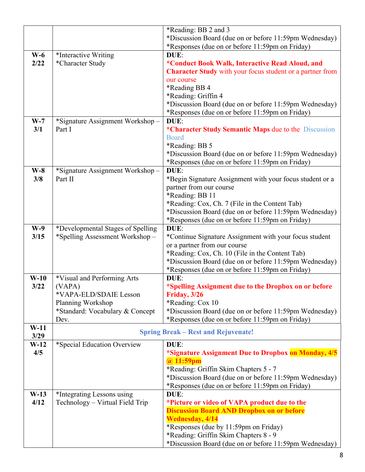|        |                                   | *Reading: BB 2 and 3                                             |
|--------|-----------------------------------|------------------------------------------------------------------|
|        |                                   | *Discussion Board (due on or before 11:59pm Wednesday)           |
|        |                                   |                                                                  |
|        |                                   | *Responses (due on or before 11:59pm on Friday)                  |
| $W-6$  | *Interactive Writing              | DUE:                                                             |
| 2/22   | *Character Study                  | *Conduct Book Walk, Interactive Read Aloud, and                  |
|        |                                   | <b>Character Study</b> with your focus student or a partner from |
|        |                                   | our course                                                       |
|        |                                   | *Reading BB 4                                                    |
|        |                                   | *Reading: Griffin 4                                              |
|        |                                   | *Discussion Board (due on or before 11:59pm Wednesday)           |
|        |                                   | *Responses (due on or before 11:59pm on Friday)                  |
| $W-7$  | *Signature Assignment Workshop-   | DUE:                                                             |
| 3/1    | Part I                            | *Character Study Semantic Maps due to the Discussion             |
|        |                                   | <b>Board</b>                                                     |
|        |                                   | *Reading: BB 5                                                   |
|        |                                   | *Discussion Board (due on or before 11:59pm Wednesday)           |
|        |                                   |                                                                  |
|        |                                   | *Responses (due on or before 11:59pm on Friday)                  |
| $W-8$  | *Signature Assignment Workshop-   | DUE:                                                             |
| 3/8    | Part II                           | *Begin Signature Assignment with your focus student or a         |
|        |                                   | partner from our course                                          |
|        |                                   | *Reading: BB 11                                                  |
|        |                                   | *Reading: Cox, Ch. 7 (File in the Content Tab)                   |
|        |                                   | *Discussion Board (due on or before 11:59pm Wednesday)           |
|        |                                   | *Responses (due on or before 11:59pm on Friday)                  |
| $W-9$  | *Developmental Stages of Spelling | DUE:                                                             |
| 3/15   | *Spelling Assessment Workshop-    | *Continue Signature Assignment with your focus student           |
|        |                                   | or a partner from our course                                     |
|        |                                   | *Reading: Cox, Ch. 10 (File in the Content Tab)                  |
|        |                                   | *Discussion Board (due on or before 11:59pm Wednesday)           |
|        |                                   | *Responses (due on or before 11:59pm on Friday)                  |
| $W-10$ | *Visual and Performing Arts       | DUE:                                                             |
| 3/22   | (VAPA)                            | *Spelling Assignment due to the Dropbox on or before             |
|        | *VAPA-ELD/SDAIE Lesson            | Friday, 3/26                                                     |
|        | Planning Workshop                 | *Reading: Cox 10                                                 |
|        | *Standard: Vocabulary & Concept   | *Discussion Board (due on or before 11:59pm Wednesday)           |
|        | Dev.                              | *Responses (due on or before 11:59pm on Friday)                  |
| $W-11$ |                                   |                                                                  |
| 3/29   |                                   | <b>Spring Break – Rest and Rejuvenate!</b>                       |
| $W-12$ | *Special Education Overview       | DUE:                                                             |
| 4/5    |                                   | *Signature Assignment Due to Dropbox on Monday, 4/5              |
|        |                                   | $(a)$ 11:59pm                                                    |
|        |                                   | *Reading: Griffin Skim Chapters 5 - 7                            |
|        |                                   | *Discussion Board (due on or before 11:59pm Wednesday)           |
|        |                                   | *Responses (due on or before 11:59pm on Friday)                  |
| $W-13$ | *Integrating Lessons using        | DUE:                                                             |
| 4/12   | Technology – Virtual Field Trip   | *Picture or video of VAPA product due to the                     |
|        |                                   | <b>Discussion Board AND Dropbox on or before</b>                 |
|        |                                   | <b>Wednesday</b> , 4/14                                          |
|        |                                   | *Responses (due by 11:59pm on Friday)                            |
|        |                                   | *Reading: Griffin Skim Chapters 8 - 9                            |
|        |                                   | *Discussion Board (due on or before 11:59pm Wednesday)           |
|        |                                   |                                                                  |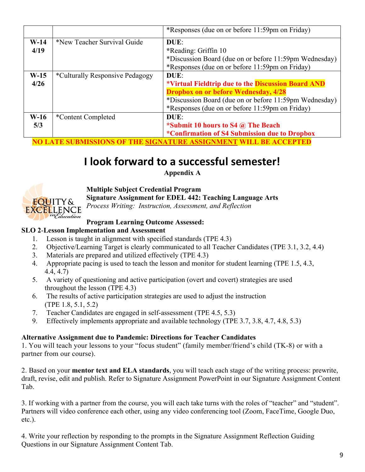|        |                                 | *Responses (due on or before 11:59pm on Friday)        |
|--------|---------------------------------|--------------------------------------------------------|
| $W-14$ | *New Teacher Survival Guide     | DUE:                                                   |
| 4/19   |                                 | *Reading: Griffin 10                                   |
|        |                                 | *Discussion Board (due on or before 11:59pm Wednesday) |
|        |                                 | *Responses (due on or before 11:59pm on Friday)        |
| $W-15$ | *Culturally Responsive Pedagogy | DUE:                                                   |
| 4/26   |                                 | *Virtual Fieldtrip due to the Discussion Board AND     |
|        |                                 | <b>Dropbox on or before Wednesday, 4/28</b>            |
|        |                                 | *Discussion Board (due on or before 11:59pm Wednesday) |
|        |                                 | *Responses (due on or before 11:59pm on Friday)        |
| $W-16$ | *Content Completed              | DUE:                                                   |
| 5/3    |                                 | *Submit 10 hours to S4 $\omega$ The Beach              |
|        |                                 | *Confirmation of S4 Submission due to Dropbox          |

**NO LATE SUBMISSIONS OF THE SIGNATURE ASSIGNMENT WILL BE ACCEPTED**

# **I look forward to a successful semester!**

**Appendix A**



**Multiple Subject Credential Program**

**Signature Assignment for EDEL 442: Teaching Language Arts**

*Process Writing: Instruction, Assessment, and Reflection*

## **Program Learning Outcome Assessed:**

## **SLO 2**-**Lesson Implementation and Assessment**

- 1. Lesson is taught in alignment with specified standards (TPE 4.3)
- 2. Objective/Learning Target is clearly communicated to all Teacher Candidates (TPE 3.1, 3.2, 4.4)
- 3. Materials are prepared and utilized effectively (TPE 4.3)
- 4. Appropriate pacing is used to teach the lesson and monitor for student learning (TPE 1.5, 4.3, 4.4, 4.7)
- 5. A variety of questioning and active participation (overt and covert) strategies are used throughout the lesson (TPE 4.3)
- 6. The results of active participation strategies are used to adjust the instruction (TPE 1.8, 5.1, 5.2)
- 7. Teacher Candidates are engaged in self-assessment (TPE 4.5, 5.3)
- 9. Effectively implements appropriate and available technology (TPE 3.7, 3.8, 4.7, 4.8, 5.3)

## **Alternative Assignment due to Pandemic: Di[rections for Teacher Candidates](https://nam12.safelinks.protection.outlook.com/?url=https%3A%2F%2Fstore.cognella.com%2F82452-1C-001&data=04%7C01%7Cstacy.griffin%40csulb.edu%7Cade629eb648f4cf7d71508d8a08ad48d%7Cd175679bacd34644be82af041982977a%7C0%7C0%7C637435865439420000%7CUnknown%7CTWFpbGZsb3d8eyJWIjoiMC4wLjAwMDAiLCJQIjoiV2luMzIiLCJBTiI6Ik1haWwiLCJXVCI6Mn0%3D%7C1000&sdata=eGo%2BoyqIHtEkcHjRF2tkiks8I%2BAnl7Fr7w9EYcT73nw%3D&reserved=0)**

1. You will teach your lessons to your "focus student" [\(family member/fr](mailto:orders@cognella.com)iend's child (TK-8) or with a partner from our course).

2. Based on your **mentor text and ELA standards**, you will teach each stage of the writing process: prewrite, draft, revise, edit and pub[lish. Refer to Signature Assignment PowerP](https://www.cde.ca.gov/be/st/ss/index.asp)oint in our Signature Assignment Content Tab.

3. I[f working with a partner from the course, you will each take turns wit](http://www.cde.ca.gov/be/st/ss/documents/finalelaccssstandards.pdf)h the roles of "teacher" and "student". Partners will video conference each other, using any video conferencing tool (Zoom, FaceTime, Google Duo, etc.).

4. Write your reflection by responding to the prompts in the Signature Assignment Reflection Guiding Questions in our Signature Assignment Content Tab.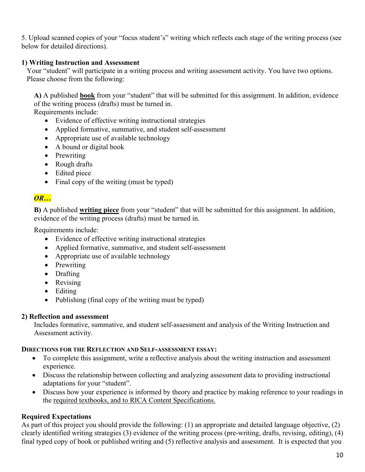5. Upload scanned copies of your "focus student's" writing which reflects each stage of the writing process (see below for detailed directions).

## **1) Writing Instruction and Assessment**

Your "student" will participate in a writing process and writing assessment activity. You have two options. Please choose from the following:

**A)** A published **book** from your "student" that will be submitted for this assignment. In addition, evidence of the writing process (drafts) must be turned in.

Requirements include:

- Evidence of effective writing instructional strategies
- Applied formative, summative, and student self-assessment
- Appropriate use of available technology
- A bound or digital book
- Prewriting
- Rough drafts
- Edited piece
- Final copy of the writing (must be typed)

## *OR…*

**B)** A published **writing piece** from your "student" that will be submitted for this assignment. In addition, evidence of the writing process (drafts) must be turned in.

Requirements include:

- Evidence of effective writing instructional strategies
- Applied formative, summative, and student self-assessment
- Appropriate use of available technology
- Prewriting
- Drafting
- Revising
- Editing
- Publishing (final copy of the writing must be typed)

## **2) Reflection and assessment**

Includes formative, summative, and student self-assessment and analysis of the Writing Instruction and Assessment activity.

## **DIRECTIONS FOR THE REFLECTION AND SELF-ASSESSMENT ESSAY:**

- To complete this assignment, write a reflective analysis about the writing instruction and assessment experience.
- Discuss the relationship between collecting and analyzing assessment data to providing instructional adaptations for your "student".
- Discuss how your experience is informed by theory and practice by making reference to your readings in the required textbooks, and to RICA Content Specifications.

## **Required Expectations**

As part of this project you should provide the following: (1) an appropriate and detailed language objective, (2) clearly identified writing strategies (3) evidence of the writing process (pre-writing, drafts, revising, editing), (4) final typed copy of book or published writing and (5) reflective analysis and assessment. It is expected that you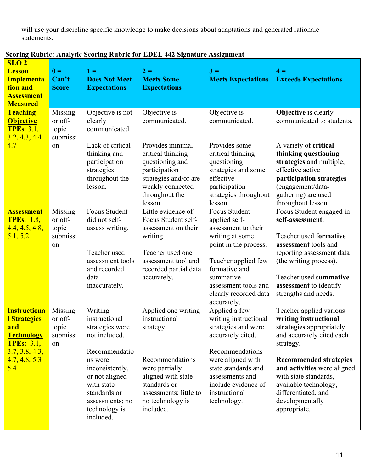will use your discipline specific knowledge to make decisions about adaptations and generated rationale statements.

| SLO <sub>2</sub><br><b>Lesson</b><br><b>Implementa</b><br>tion and<br><b>Assessment</b><br><b>Measured</b>                            | $\mathbf{0} =$<br>Can't<br><b>Score</b>       | $1 =$<br><b>Does Not Meet</b><br><b>Expectations</b>                                                                                                                                                         | $2 =$<br><b>Meets Some</b><br><b>Expectations</b>                                                                                                                                       | $3 =$<br><b>Meets Expectations</b>                                                                                                                                                                                            | $4 =$<br><b>Exceeds Expectations</b>                                                                                                                                                                                                                                                               |
|---------------------------------------------------------------------------------------------------------------------------------------|-----------------------------------------------|--------------------------------------------------------------------------------------------------------------------------------------------------------------------------------------------------------------|-----------------------------------------------------------------------------------------------------------------------------------------------------------------------------------------|-------------------------------------------------------------------------------------------------------------------------------------------------------------------------------------------------------------------------------|----------------------------------------------------------------------------------------------------------------------------------------------------------------------------------------------------------------------------------------------------------------------------------------------------|
| <b>Teaching</b><br><b>Objective</b><br><b>TPEs: 3.1,</b><br>3.2, 4.3, 4.4<br>4.7                                                      | Missing<br>or off-<br>topic<br>submissi<br>on | Objective is not<br>clearly<br>communicated.<br>Lack of critical<br>thinking and<br>participation<br>strategies<br>throughout the<br>lesson.                                                                 | Objective is<br>communicated.<br>Provides minimal<br>critical thinking<br>questioning and<br>participation<br>strategies and/or are<br>weakly connected<br>throughout the<br>lesson.    | Objective is<br>communicated.<br>Provides some<br>critical thinking<br>questioning<br>strategies and some<br>effective<br>participation<br>strategies throughout<br>lesson.                                                   | <b>Objective</b> is clearly<br>communicated to students.<br>A variety of critical<br>thinking questioning<br>strategies and multiple,<br>effective active<br>participation strategies<br>(engagement/data-<br>gathering) are used<br>throughout lesson.                                            |
| <u>Assessment</u><br><b>TPEs: 1.8,</b><br>4.4, 4.5, 4.8,<br>5.1, 5.2                                                                  | Missing<br>or off-<br>topic<br>submissi<br>on | Focus Student<br>did not self-<br>assess writing.<br>Teacher used<br>assessment tools<br>and recorded<br>data<br>inaccurately.                                                                               | Little evidence of<br>Focus Student self-<br>assessment on their<br>writing.<br>Teacher used one<br>assessment tool and<br>recorded partial data<br>accurately.                         | <b>Focus Student</b><br>applied self-<br>assessment to their<br>writing at some<br>point in the process.<br>Teacher applied few<br>formative and<br>summative<br>assessment tools and<br>clearly recorded data<br>accurately. | Focus Student engaged in<br>self-assessment.<br>Teacher used formative<br>assessment tools and<br>reporting assessment data<br>(the writing process).<br>Teacher used summative<br>assessment to identify<br>strengths and needs.                                                                  |
| <b>Instructiona</b><br><b>l Strategies</b><br>and<br><b>Technology</b><br><b>TPEs: 3.1,</b><br>3.7, 3.8, 4.3,<br>4.7, 4.8, 5.3<br>5.4 | Missing<br>or off-<br>topic<br>submissi<br>on | Writing<br>instructional<br>strategies were<br>not included.<br>Recommendatio<br>ns were<br>inconsistently,<br>or not aligned<br>with state<br>standards or<br>assessments; no<br>technology is<br>included. | Applied one writing<br>instructional<br>strategy.<br>Recommendations<br>were partially<br>aligned with state<br>standards or<br>assessments; little to<br>no technology is<br>included. | Applied a few<br>writing instructional<br>strategies and were<br>accurately cited.<br>Recommendations<br>were aligned with<br>state standards and<br>assessments and<br>include evidence of<br>instructional<br>technology.   | Teacher applied various<br>writing instructional<br>strategies appropriately<br>and accurately cited each<br>strategy.<br><b>Recommended strategies</b><br>and activities were aligned<br>with state standards,<br>available technology,<br>differentiated, and<br>developmentally<br>appropriate. |

|  |  |  | <b>Scoring Rubric: Analytic Scoring Rubric for EDEL 442 Signature Assignment</b> |
|--|--|--|----------------------------------------------------------------------------------|
|  |  |  |                                                                                  |